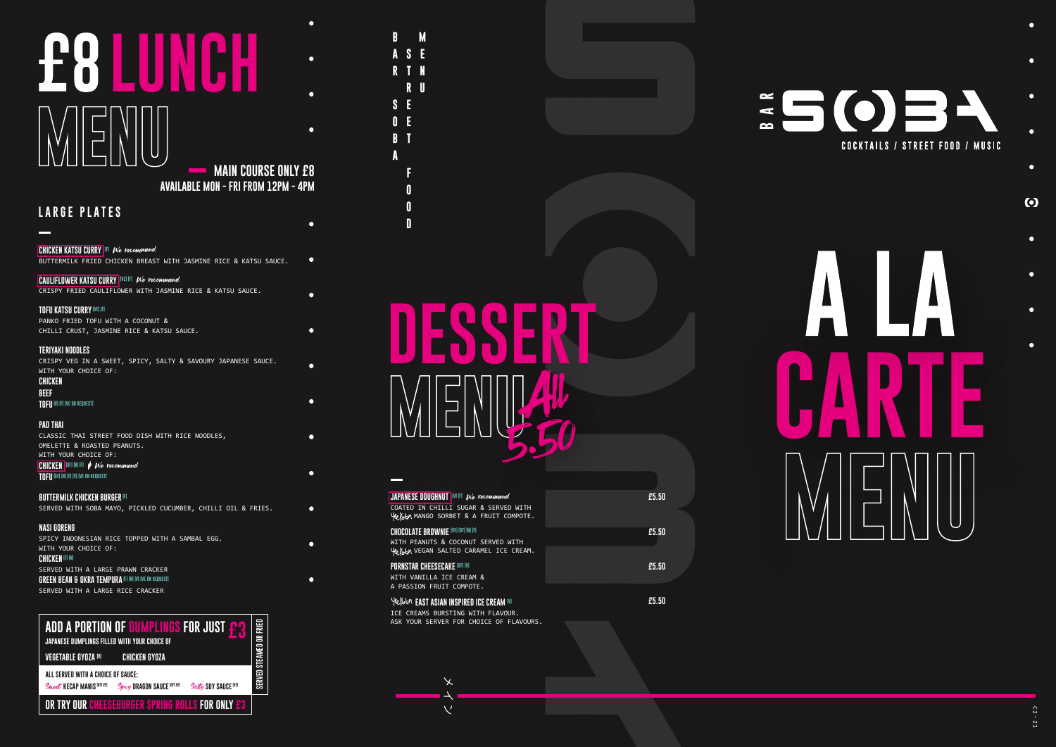# **LARGE PLATES**

BUTTERMILK FRIED CHICKEN BREAST WITH JASMINE RICE & KATSU SAUCE.

CRISPY FRIED CAULIFLOWER WITH JASMINE RICE & KATSU SAUCE.

# **TOFU KATSU CURRY (VE) (F)**

PANKO FRIED TOFU WITH A COCONUT & CHILLI CRUST, JASMINE RICE & KATSU SAUCE.

# **TERIYAKI NOODLES**

CRISPY VEG IN A SWEET, SPICY, SALTY & SAVOURY JAPANESE SAUCE. WITH YOUR CHOICE OF: **CHICKEN**

SERVED WITH A LARGE PRAWN CRACKER **GREEN BEAN & OKRA TEMPURA (F) (N) (V) (VE ON REQUEST)** 

# **BEEF**

**TOFU (V) (F) (VE ON REQUEST)**

# **PAD THAI**

# **CHICKEN KATSU CURRY (F)** We recommend

# **CAULIFLOWER KATSU CURRY (VE) (F)** We recommend

CLASSIC THAI STREET FOOD DISH WITH RICE NOODLES, OMELETTE & ROASTED PEANUTS. WITH YOUR CHOICE OF: **CHICKEN** (GF) (N) (F) *t V*e recommend **TOFU (GF) (N) (F) (V) (VE ON REQUEST)**

# **£8 LUNCH MAIN COURSE ONLY £8**

**BUTTERMILK CHICKEN BURGER (F)** SERVED WITH SOBA MAYO, PICKLED CUCUMBER, CHILLI OIL & FRIES.

# **NASI GORENG**

SPICY INDONESIAN RICE TOPPED WITH A SAMBAL EGG. WITH YOUR CHOICE OF:

# **CHICKEN (F) (N)**

SERVED WITH A LARGE RICE CRACKER



 $\times$ 

 $\nabla^{\prime}$ 

# **AVAILABLE MON - FRI FROM 12PM - 4PM**

**STREETFOOD**

**BARSOBA**

 $\bullet$ 

 $\bullet$ 

 $\bullet$ 

 $\blacksquare$ 

 $\blacksquare$ 

 $\bullet$ 

 $\bullet$ 

 $\bullet$ 

 $S E$  $\mathbf{0}$  E B T

R

MENU

R U

A S E R T N

 $\mathbf{M}$ 

| JAPANESE DOUGHNUT WE Ne recommend<br>COATED IN CHILLI SUGAR & SERVED WITH<br>Yellen MANGO SORBET & A FRUIT COMPOTE.                                  | £5.50 |
|------------------------------------------------------------------------------------------------------------------------------------------------------|-------|
| <b>CHOCOLATE BROWNIE</b> (VE) (GF) (N) (F)<br>WITH PEANUTS & COCONUT SERVED WITH<br>Yelwan VEGAN SALTED CARAMEL ICE CREAM.                           | £5.50 |
| <b>PORNSTAR CHEESECAKE (GF) (V)</b><br>WITH VANILLA ICE CREAM &                                                                                      | £5.50 |
| A PASSION FRUIT COMPOTE.<br>Yelwan EAST ASIAN INSPIRED ICE CREAM IVI<br>ICE CREAMS BURSTING WITH FLAVOUR.<br>ASK YOUR SERVER FOR CHOICE OF FLAVOURS. | £5.50 |
|                                                                                                                                                      |       |



# $\bullet$  $\bullet$

 $\bullet$ 

 $\bullet$ 

 $\odot$